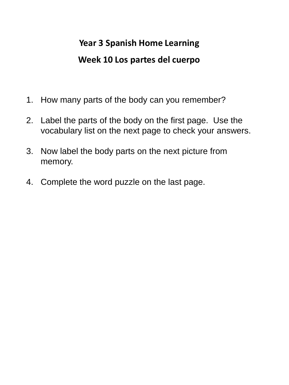#### **Year 3 Spanish Home Learning Week 10 Los partes del cuerpo**

- 1. How many parts of the body can you remember?
- 2. Label the parts of the body on the first page. Use the vocabulary list on the next page to check your answers.
- 3. Now label the body parts on the next picture from memory.
- 4. Complete the word puzzle on the last page.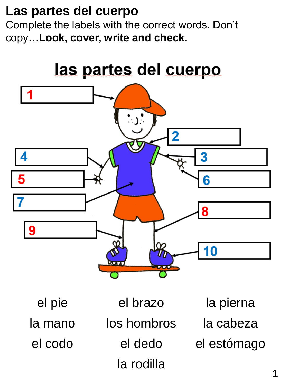### **Las partes del cuerpo**

Complete the labels with the correct words. Don't copy…**Look, cover, write and check**.

# <u>las partes del cuerpo</u>



el pie el brazo la pierna la mano los hombros la cabeza el codo el dedo el estómago la rodilla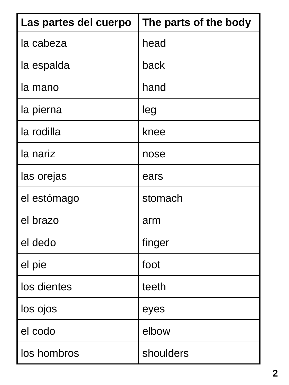| Las partes del cuerpo | The parts of the body |
|-----------------------|-----------------------|
| la cabeza             | head                  |
| la espalda            | back                  |
| la mano               | hand                  |
| la pierna             | leg                   |
| la rodilla            | knee                  |
| la nariz              | nose                  |
| las orejas            | ears                  |
| el estómago           | stomach               |
| el brazo              | arm                   |
| el dedo               | finger                |
| el pie                | foot                  |
| los dientes           | teeth                 |
| los ojos              | eyes                  |
| el codo               | elbow                 |
| los hombros           | shoulders             |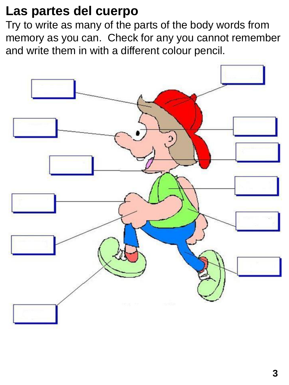### **Las partes del cuerpo**

Try to write as many of the parts of the body words from memory as you can. Check for any you cannot remember and write them in with a different colour pencil.